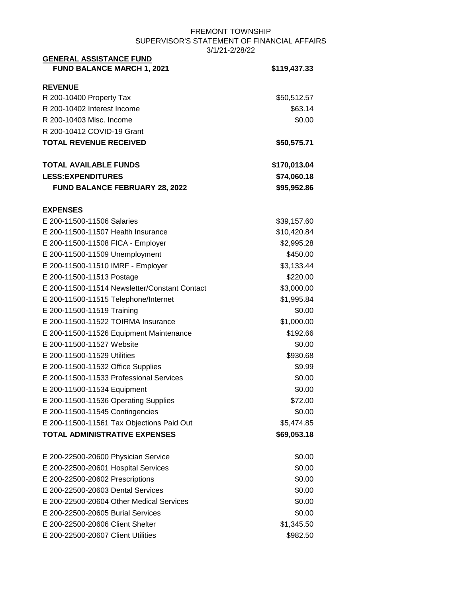#### FREMONT TOWNSHIP SUPERVISOR'S STATEMENT OF FINANCIAL AFFAIRS 3/1/21-2/28/22 **GENERAL ASSISTANCE FUND**

| <u>UENERAL ASSISTANCE FUND</u><br>FUND BALANCE MARCH 1, 2021 | \$119,437.33 |
|--------------------------------------------------------------|--------------|
| <b>REVENUE</b>                                               |              |
| R 200-10400 Property Tax                                     | \$50,512.57  |
| R 200-10402 Interest Income                                  | \$63.14      |
| R 200-10403 Misc. Income                                     | \$0.00       |
| R 200-10412 COVID-19 Grant                                   |              |
| <b>TOTAL REVENUE RECEIVED</b>                                | \$50,575.71  |
| <b>TOTAL AVAILABLE FUNDS</b>                                 | \$170,013.04 |
| <b>LESS: EXPENDITURES</b>                                    | \$74,060.18  |
| <b>FUND BALANCE FEBRUARY 28, 2022</b>                        | \$95,952.86  |
| <b>EXPENSES</b>                                              |              |
| E 200-11500-11506 Salaries                                   | \$39,157.60  |
| E 200-11500-11507 Health Insurance                           | \$10,420.84  |
| E 200-11500-11508 FICA - Employer                            | \$2,995.28   |
| E 200-11500-11509 Unemployment                               | \$450.00     |
| E 200-11500-11510 IMRF - Employer                            | \$3,133.44   |
| E 200-11500-11513 Postage                                    | \$220.00     |
| E 200-11500-11514 Newsletter/Constant Contact                | \$3,000.00   |
| E 200-11500-11515 Telephone/Internet                         | \$1,995.84   |
| E 200-11500-11519 Training                                   | \$0.00       |
| E 200-11500-11522 TOIRMA Insurance                           | \$1,000.00   |
| E 200-11500-11526 Equipment Maintenance                      | \$192.66     |
| E 200-11500-11527 Website                                    | \$0.00       |
| E 200-11500-11529 Utilities                                  | \$930.68     |
| E 200-11500-11532 Office Supplies                            | \$9.99       |
| E 200-11500-11533 Professional Services                      | \$0.00       |
| E 200-11500-11534 Equipment                                  | \$0.00       |
| E 200-11500-11536 Operating Supplies                         | \$72.00      |
| E 200-11500-11545 Contingencies                              | \$0.00       |
| E 200-11500-11561 Tax Objections Paid Out                    | \$5,474.85   |
| <b>TOTAL ADMINISTRATIVE EXPENSES</b>                         | \$69,053.18  |
| E 200-22500-20600 Physician Service                          | \$0.00       |
| E 200-22500-20601 Hospital Services                          | \$0.00       |
| E 200-22500-20602 Prescriptions                              | \$0.00       |
| E 200-22500-20603 Dental Services                            | \$0.00       |
| E 200-22500-20604 Other Medical Services                     | \$0.00       |
| E 200-22500-20605 Burial Services                            | \$0.00       |
| E 200-22500-20606 Client Shelter                             | \$1,345.50   |
| E 200-22500-20607 Client Utilities                           | \$982.50     |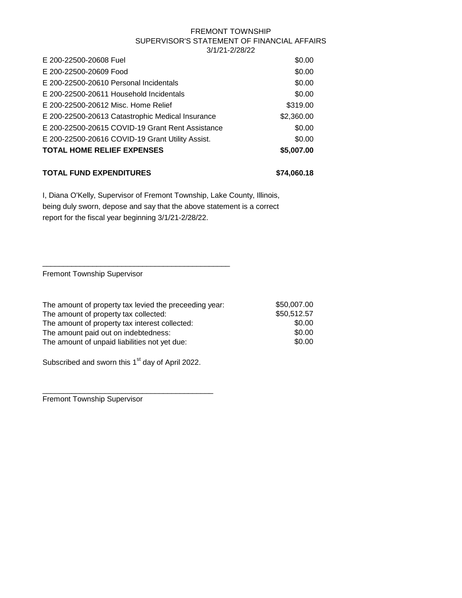| E 200-22500-20608 Fuel                           | \$0.00     |
|--------------------------------------------------|------------|
| E 200-22500-20609 Food                           | \$0.00     |
| E 200-22500-20610 Personal Incidentals           | \$0.00     |
| E 200-22500-20611 Household Incidentals          | \$0.00     |
| E 200-22500-20612 Misc. Home Relief              | \$319.00   |
| E 200-22500-20613 Catastrophic Medical Insurance | \$2,360.00 |
| E 200-22500-20615 COVID-19 Grant Rent Assistance | \$0.00     |
| E 200-22500-20616 COVID-19 Grant Utility Assist. | \$0.00     |
| <b>TOTAL HOME RELIEF EXPENSES</b>                | \$5,007.00 |
|                                                  |            |

# **TOTAL FUND EXPENDITURES \$74,060.18**

I, Diana O'Kelly, Supervisor of Fremont Township, Lake County, Illinois, being duly sworn, depose and say that the above statement is a correct report for the fiscal year beginning 3/1/21-2/28/22.

Fremont Township Supervisor

| The amount of property tax levied the preceeding year: | \$50,007.00 |
|--------------------------------------------------------|-------------|
| The amount of property tax collected:                  | \$50,512.57 |
| The amount of property tax interest collected:         | \$0.00      |
| The amount paid out on indebtedness:                   | \$0.00      |
| The amount of unpaid liabilities not yet due:          | \$0.00      |

Subscribed and sworn this  $1<sup>st</sup>$  day of April 2022.

\_\_\_\_\_\_\_\_\_\_\_\_\_\_\_\_\_\_\_\_\_\_\_\_\_\_\_\_\_\_\_\_\_\_\_\_\_\_\_\_\_

\_\_\_\_\_\_\_\_\_\_\_\_\_\_\_\_\_\_\_\_\_\_\_\_\_\_\_\_\_\_\_\_\_\_\_\_\_\_\_\_\_\_\_\_\_

Fremont Township Supervisor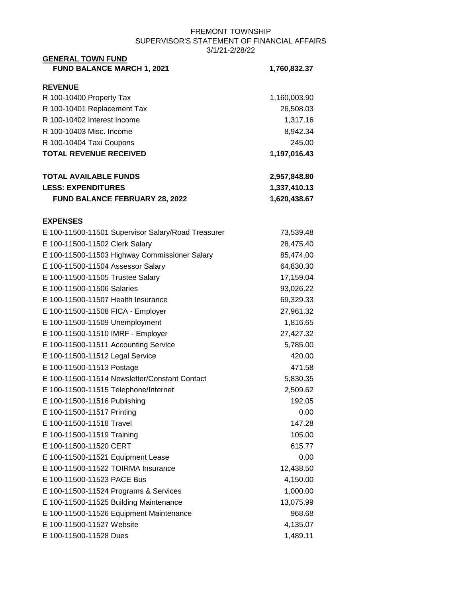| <b>GENERAL TOWN FUND</b>                           |              |
|----------------------------------------------------|--------------|
| <b>FUND BALANCE MARCH 1, 2021</b>                  | 1,760,832.37 |
| <b>REVENUE</b>                                     |              |
| R 100-10400 Property Tax                           | 1,160,003.90 |
| R 100-10401 Replacement Tax                        | 26,508.03    |
| R 100-10402 Interest Income                        | 1,317.16     |
| R 100-10403 Misc. Income                           | 8,942.34     |
| R 100-10404 Taxi Coupons                           | 245.00       |
| <b>TOTAL REVENUE RECEIVED</b>                      | 1,197,016.43 |
| <b>TOTAL AVAILABLE FUNDS</b>                       | 2,957,848.80 |
| <b>LESS: EXPENDITURES</b>                          | 1,337,410.13 |
| <b>FUND BALANCE FEBRUARY 28, 2022</b>              | 1,620,438.67 |
| <b>EXPENSES</b>                                    |              |
| E 100-11500-11501 Supervisor Salary/Road Treasurer | 73,539.48    |
| E 100-11500-11502 Clerk Salary                     | 28,475.40    |
| E 100-11500-11503 Highway Commissioner Salary      | 85,474.00    |
| E 100-11500-11504 Assessor Salary                  | 64,830.30    |
| E 100-11500-11505 Trustee Salary                   | 17,159.04    |
| E 100-11500-11506 Salaries                         | 93,026.22    |
| E 100-11500-11507 Health Insurance                 | 69,329.33    |
| E 100-11500-11508 FICA - Employer                  | 27,961.32    |
| E 100-11500-11509 Unemployment                     | 1,816.65     |
| E 100-11500-11510 IMRF - Employer                  | 27,427.32    |
| E 100-11500-11511 Accounting Service               | 5,785.00     |
| E 100-11500-11512 Legal Service                    | 420.00       |
| E 100-11500-11513 Postage                          | 471.58       |
| E 100-11500-11514 Newsletter/Constant Contact      | 5,830.35     |
| E 100-11500-11515 Telephone/Internet               | 2,509.62     |
| E 100-11500-11516 Publishing                       | 192.05       |
| E 100-11500-11517 Printing                         | 0.00         |
| E 100-11500-11518 Travel                           | 147.28       |
| E 100-11500-11519 Training                         | 105.00       |
| E 100-11500-11520 CERT                             | 615.77       |
| E 100-11500-11521 Equipment Lease                  | 0.00         |
| E 100-11500-11522 TOIRMA Insurance                 | 12,438.50    |
| E 100-11500-11523 PACE Bus                         | 4,150.00     |
| E 100-11500-11524 Programs & Services              | 1,000.00     |
| E 100-11500-11525 Building Maintenance             | 13,075.99    |
| E 100-11500-11526 Equipment Maintenance            | 968.68       |
| E 100-11500-11527 Website                          | 4,135.07     |
| E 100-11500-11528 Dues                             | 1,489.11     |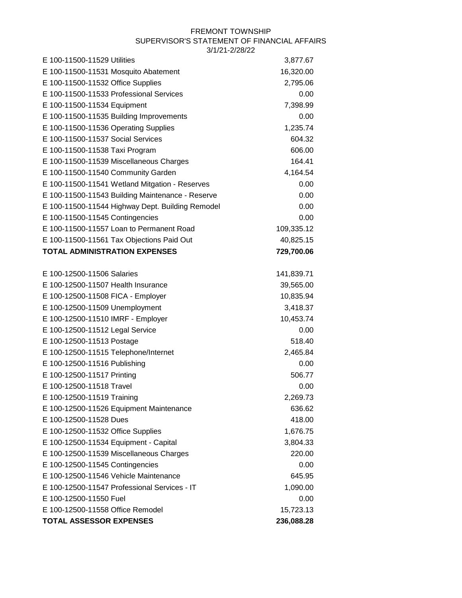| E 100-11500-11529 Utilities                      | 3,877.67   |
|--------------------------------------------------|------------|
| E 100-11500-11531 Mosquito Abatement             | 16,320.00  |
| E 100-11500-11532 Office Supplies                | 2,795.06   |
| E 100-11500-11533 Professional Services          | 0.00       |
| E 100-11500-11534 Equipment                      | 7,398.99   |
| E 100-11500-11535 Building Improvements          | 0.00       |
| E 100-11500-11536 Operating Supplies             | 1,235.74   |
| E 100-11500-11537 Social Services                | 604.32     |
| E 100-11500-11538 Taxi Program                   | 606.00     |
| E 100-11500-11539 Miscellaneous Charges          | 164.41     |
| E 100-11500-11540 Community Garden               | 4,164.54   |
| E 100-11500-11541 Wetland Mitgation - Reserves   | 0.00       |
| E 100-11500-11543 Building Maintenance - Reserve | 0.00       |
| E 100-11500-11544 Highway Dept. Building Remodel | 0.00       |
| E 100-11500-11545 Contingencies                  | 0.00       |
| E 100-11500-11557 Loan to Permanent Road         | 109,335.12 |
| E 100-11500-11561 Tax Objections Paid Out        | 40,825.15  |
| <b>TOTAL ADMINISTRATION EXPENSES</b>             | 729,700.06 |
|                                                  |            |
| E 100-12500-11506 Salaries                       | 141,839.71 |
| E 100-12500-11507 Health Insurance               | 39,565.00  |
| E 100-12500-11508 FICA - Employer                | 10,835.94  |
| E 100-12500-11509 Unemployment                   | 3,418.37   |
| E 100-12500-11510 IMRF - Employer                | 10,453.74  |
| E 100-12500-11512 Legal Service                  | 0.00       |
| E 100-12500-11513 Postage                        | 518.40     |
| E 100-12500-11515 Telephone/Internet             | 2,465.84   |
| E 100-12500-11516 Publishing                     | 0.00       |
| E 100-12500-11517 Printing                       | 506.77     |
| E 100-12500-11518 Travel                         | 0.00       |
| E 100-12500-11519 Training                       | 2,269.73   |
| E 100-12500-11526 Equipment Maintenance          | 636.62     |
| E 100-12500-11528 Dues                           | 418.00     |
| E 100-12500-11532 Office Supplies                | 1,676.75   |
| E 100-12500-11534 Equipment - Capital            | 3,804.33   |
| E 100-12500-11539 Miscellaneous Charges          | 220.00     |
| E 100-12500-11545 Contingencies                  | 0.00       |
| E 100-12500-11546 Vehicle Maintenance            | 645.95     |
| E 100-12500-11547 Professional Services - IT     | 1,090.00   |
| E 100-12500-11550 Fuel                           | 0.00       |
| E 100-12500-11558 Office Remodel                 | 15,723.13  |
| <b>TOTAL ASSESSOR EXPENSES</b>                   | 236,088.28 |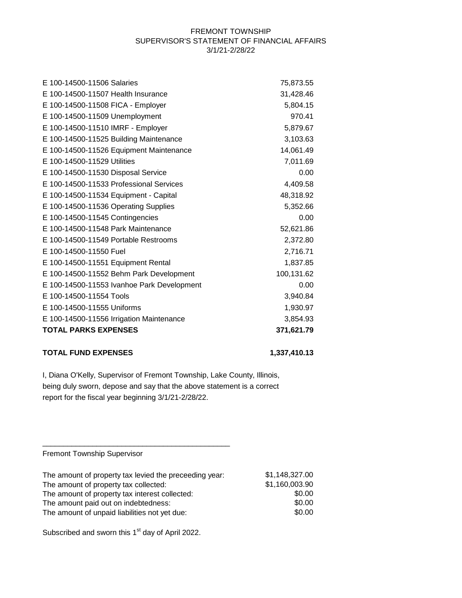| E 100-14500-11506 Salaries                 | 75,873.55  |
|--------------------------------------------|------------|
| E 100-14500-11507 Health Insurance         | 31,428.46  |
| E 100-14500-11508 FICA - Employer          | 5,804.15   |
| E 100-14500-11509 Unemployment             | 970.41     |
| E 100-14500-11510 IMRF - Employer          | 5,879.67   |
| E 100-14500-11525 Building Maintenance     | 3,103.63   |
| E 100-14500-11526 Equipment Maintenance    | 14,061.49  |
| E 100-14500-11529 Utilities                | 7,011.69   |
| E 100-14500-11530 Disposal Service         | 0.00       |
| E 100-14500-11533 Professional Services    | 4,409.58   |
| E 100-14500-11534 Equipment - Capital      | 48,318.92  |
| E 100-14500-11536 Operating Supplies       | 5,352.66   |
| E 100-14500-11545 Contingencies            | 0.00       |
| E 100-14500-11548 Park Maintenance         | 52,621.86  |
| E 100-14500-11549 Portable Restrooms       | 2,372.80   |
| E 100-14500-11550 Fuel                     | 2,716.71   |
| E 100-14500-11551 Equipment Rental         | 1,837.85   |
| E 100-14500-11552 Behm Park Development    | 100,131.62 |
| E 100-14500-11553 Ivanhoe Park Development | 0.00       |
| E 100-14500-11554 Tools                    | 3,940.84   |
| E 100-14500-11555 Uniforms                 | 1,930.97   |
| E 100-14500-11556 Irrigation Maintenance   | 3,854.93   |
| <b>TOTAL PARKS EXPENSES</b>                | 371,621.79 |

## **TOTAL FUND EXPENSES 1,337,410.13**

I, Diana O'Kelly, Supervisor of Fremont Township, Lake County, Illinois, being duly sworn, depose and say that the above statement is a correct report for the fiscal year beginning 3/1/21-2/28/22.

Fremont Township Supervisor

| The amount of property tax levied the preceeding year: | \$1,148,327.00 |
|--------------------------------------------------------|----------------|
| The amount of property tax collected:                  | \$1,160,003.90 |
| The amount of property tax interest collected:         | \$0.00         |
| The amount paid out on indebtedness:                   | \$0.00         |
| The amount of unpaid liabilities not yet due:          | \$0.00         |

Subscribed and sworn this 1<sup>st</sup> day of April 2022.

\_\_\_\_\_\_\_\_\_\_\_\_\_\_\_\_\_\_\_\_\_\_\_\_\_\_\_\_\_\_\_\_\_\_\_\_\_\_\_\_\_\_\_\_\_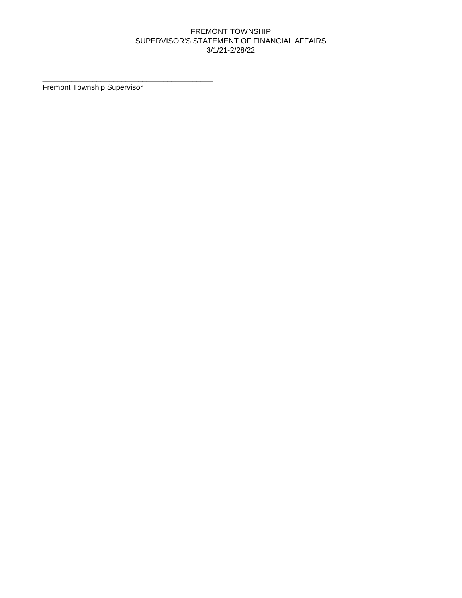Fremont Township Supervisor

\_\_\_\_\_\_\_\_\_\_\_\_\_\_\_\_\_\_\_\_\_\_\_\_\_\_\_\_\_\_\_\_\_\_\_\_\_\_\_\_\_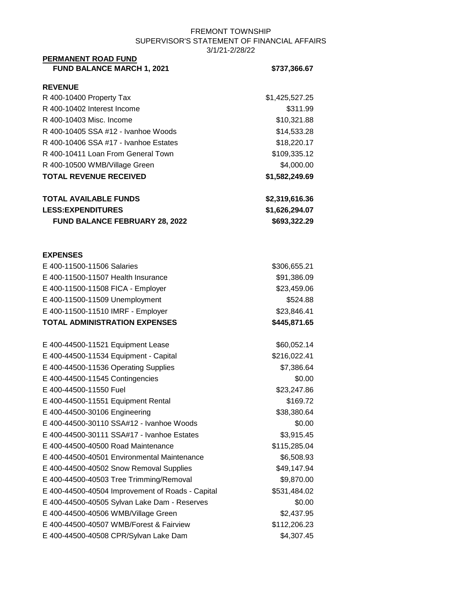| PERMANENT ROAD FUND                                                 |                            |
|---------------------------------------------------------------------|----------------------------|
| <b>FUND BALANCE MARCH 1, 2021</b>                                   | \$737,366.67               |
| <b>REVENUE</b>                                                      |                            |
| R 400-10400 Property Tax                                            | \$1,425,527.25             |
| R 400-10402 Interest Income                                         | \$311.99                   |
| R 400-10403 Misc. Income                                            | \$10,321.88                |
| R 400-10405 SSA #12 - Ivanhoe Woods                                 | \$14,533.28                |
| R 400-10406 SSA #17 - Ivanhoe Estates                               | \$18,220.17                |
| R 400-10411 Loan From General Town                                  | \$109,335.12               |
| R 400-10500 WMB/Village Green                                       | \$4,000.00                 |
| <b>TOTAL REVENUE RECEIVED</b>                                       | \$1,582,249.69             |
| <b>TOTAL AVAILABLE FUNDS</b>                                        | \$2,319,616.36             |
| <b>LESS:EXPENDITURES</b>                                            | \$1,626,294.07             |
| FUND BALANCE FEBRUARY 28, 2022                                      | \$693,322.29               |
|                                                                     |                            |
| <b>EXPENSES</b>                                                     |                            |
| E 400-11500-11506 Salaries<br>E 400-11500-11507 Health Insurance    | \$306,655.21               |
|                                                                     | \$91,386.09<br>\$23,459.06 |
| E 400-11500-11508 FICA - Employer                                   |                            |
| E 400-11500-11509 Unemployment<br>E 400-11500-11510 IMRF - Employer | \$524.88<br>\$23,846.41    |
| <b>TOTAL ADMINISTRATION EXPENSES</b>                                | \$445,871.65               |
|                                                                     |                            |
| E 400-44500-11521 Equipment Lease                                   | \$60,052.14                |
| E 400-44500-11534 Equipment - Capital                               | \$216,022.41               |
| E 400-44500-11536 Operating Supplies                                | \$7,386.64                 |
| E 400-44500-11545 Contingencies                                     | \$0.00                     |
| E 400-44500-11550 Fuel                                              | \$23,247.86                |
| E 400-44500-11551 Equipment Rental                                  | \$169.72                   |
| E 400-44500-30106 Engineering                                       | \$38,380.64                |
| E 400-44500-30110 SSA#12 - Ivanhoe Woods                            | \$0.00                     |
| E 400-44500-30111 SSA#17 - Ivanhoe Estates                          | \$3,915.45                 |
| E 400-44500-40500 Road Maintenance                                  | \$115,285.04               |
| E 400-44500-40501 Environmental Maintenance                         | \$6,508.93                 |
| E 400-44500-40502 Snow Removal Supplies                             | \$49,147.94                |
| E 400-44500-40503 Tree Trimming/Removal                             | \$9,870.00                 |
| E 400-44500-40504 Improvement of Roads - Capital                    | \$531,484.02               |
| E 400-44500-40505 Sylvan Lake Dam - Reserves                        | \$0.00                     |
| E 400-44500-40506 WMB/Village Green                                 | \$2,437.95                 |
| E 400-44500-40507 WMB/Forest & Fairview                             | \$112,206.23               |
| E 400-44500-40508 CPR/Sylvan Lake Dam                               | \$4,307.45                 |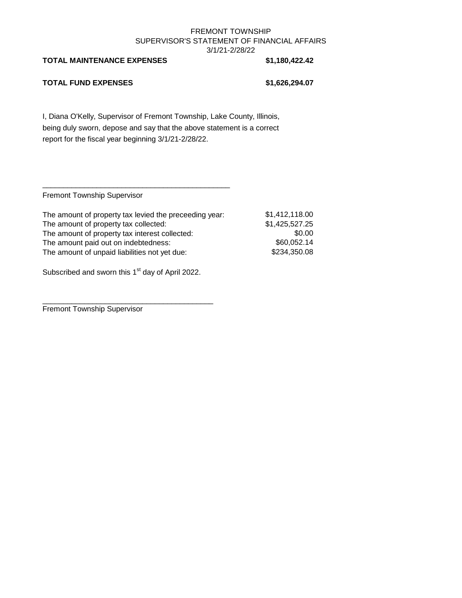#### **TOTAL MAINTENANCE EXPENSES \$1,180,422.42**

#### **TOTAL FUND EXPENSES \$1,626,294.07**

I, Diana O'Kelly, Supervisor of Fremont Township, Lake County, Illinois, being duly sworn, depose and say that the above statement is a correct report for the fiscal year beginning 3/1/21-2/28/22.

Fremont Township Supervisor

| The amount of property tax levied the preceeding year: | \$1,412,118.00 |
|--------------------------------------------------------|----------------|
| The amount of property tax collected:                  | \$1,425,527.25 |
| The amount of property tax interest collected:         | \$0.00         |
| The amount paid out on indebtedness:                   | \$60,052.14    |
| The amount of unpaid liabilities not yet due:          | \$234,350.08   |
|                                                        |                |

Subscribed and sworn this 1<sup>st</sup> day of April 2022.

\_\_\_\_\_\_\_\_\_\_\_\_\_\_\_\_\_\_\_\_\_\_\_\_\_\_\_\_\_\_\_\_\_\_\_\_\_\_\_\_\_

\_\_\_\_\_\_\_\_\_\_\_\_\_\_\_\_\_\_\_\_\_\_\_\_\_\_\_\_\_\_\_\_\_\_\_\_\_\_\_\_\_\_\_\_\_

Fremont Township Supervisor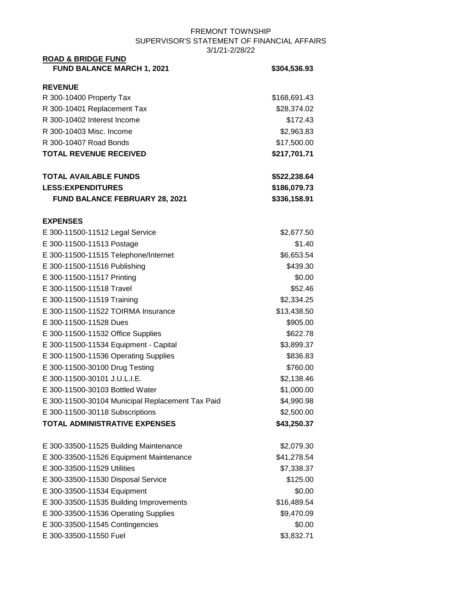| <b>ROAD &amp; BRIDGE FUND</b>                    |              |
|--------------------------------------------------|--------------|
| <b>FUND BALANCE MARCH 1, 2021</b>                | \$304,536.93 |
| <b>REVENUE</b>                                   |              |
| R 300-10400 Property Tax                         | \$168,691.43 |
| R 300-10401 Replacement Tax                      | \$28,374.02  |
| R 300-10402 Interest Income                      | \$172.43     |
| R 300-10403 Misc. Income                         | \$2,963.83   |
| R 300-10407 Road Bonds                           | \$17,500.00  |
| <b>TOTAL REVENUE RECEIVED</b>                    | \$217,701.71 |
| <b>TOTAL AVAILABLE FUNDS</b>                     | \$522,238.64 |
| <b>LESS:EXPENDITURES</b>                         | \$186,079.73 |
| <b>FUND BALANCE FEBRUARY 28, 2021</b>            | \$336,158.91 |
| <b>EXPENSES</b>                                  |              |
| E 300-11500-11512 Legal Service                  | \$2,677.50   |
| E 300-11500-11513 Postage                        | \$1.40       |
| E 300-11500-11515 Telephone/Internet             | \$6,653.54   |
| E 300-11500-11516 Publishing                     | \$439.30     |
| E 300-11500-11517 Printing                       | \$0.00       |
| E 300-11500-11518 Travel                         | \$52.46      |
| E 300-11500-11519 Training                       | \$2,334.25   |
| E 300-11500-11522 TOIRMA Insurance               | \$13,438.50  |
| E 300-11500-11528 Dues                           | \$905.00     |
| E 300-11500-11532 Office Supplies                | \$622.78     |
| E 300-11500-11534 Equipment - Capital            | \$3,899.37   |
| E 300-11500-11536 Operating Supplies             | \$836.83     |
| E 300-11500-30100 Drug Testing                   | \$760.00     |
| E 300-11500-30101 J.U.L.I.E.                     | \$2,138.46   |
| E 300-11500-30103 Bottled Water                  | \$1,000.00   |
| E 300-11500-30104 Municipal Replacement Tax Paid | \$4,990.98   |
| E 300-11500-30118 Subscriptions                  | \$2,500.00   |
| <b>TOTAL ADMINISTRATIVE EXPENSES</b>             | \$43,250.37  |
| E 300-33500-11525 Building Maintenance           | \$2,079.30   |
| E 300-33500-11526 Equipment Maintenance          | \$41,278.54  |
| E 300-33500-11529 Utilities                      | \$7,338.37   |
| E 300-33500-11530 Disposal Service               | \$125.00     |
| E 300-33500-11534 Equipment                      | \$0.00       |
| E 300-33500-11535 Building Improvements          | \$16,489.54  |
| E 300-33500-11536 Operating Supplies             | \$9,470.09   |
| E 300-33500-11545 Contingencies                  | \$0.00       |
| E 300-33500-11550 Fuel                           | \$3,832.71   |